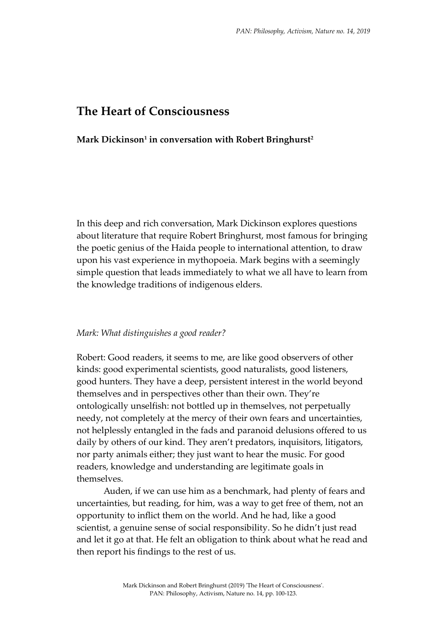# **The Heart of Consciousness**

### **Mark Dickinson<sup>1</sup> in conversation with Robert Bringhurst<sup>2</sup>**

In this deep and rich conversation, Mark Dickinson explores questions about literature that require Robert Bringhurst, most famous for bringing the poetic genius of the Haida people to international attention, to draw upon his vast experience in mythopoeia. Mark begins with a seemingly simple question that leads immediately to what we all have to learn from the knowledge traditions of indigenous elders.

#### *Mark: What distinguishes a good reader?*

Robert: Good readers, it seems to me, are like good observers of other kinds: good experimental scientists, good naturalists, good listeners, good hunters. They have a deep, persistent interest in the world beyond themselves and in perspectives other than their own. They're ontologically unselfish: not bottled up in themselves, not perpetually needy, not completely at the mercy of their own fears and uncertainties, not helplessly entangled in the fads and paranoid delusions offered to us daily by others of our kind. They aren't predators, inquisitors, litigators, nor party animals either; they just want to hear the music. For good readers, knowledge and understanding are legitimate goals in themselves.

Auden, if we can use him as a benchmark, had plenty of fears and uncertainties, but reading, for him, was a way to get free of them, not an opportunity to inflict them on the world. And he had, like a good scientist, a genuine sense of social responsibility. So he didn't just read and let it go at that. He felt an obligation to think about what he read and then report his findings to the rest of us.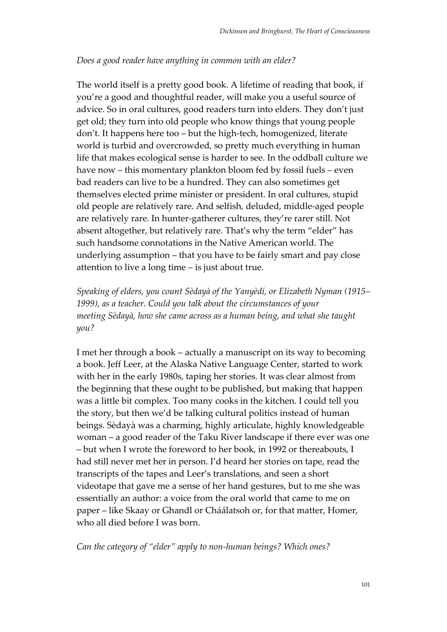### *Does a good reader have anything in common with an elder?*

The world itself is a pretty good book. A lifetime of reading that book, if you're a good and thoughtful reader, will make you a useful source of advice. So in oral cultures, good readers turn into elders. They don't just get old; they turn into old people who know things that young people don't. It happens here too – but the high-tech, homogenized, literate world is turbid and overcrowded, so pretty much everything in human life that makes ecological sense is harder to see. In the oddball culture we have now – this momentary plankton bloom fed by fossil fuels – even bad readers can live to be a hundred. They can also sometimes get themselves elected prime minister or president. In oral cultures, stupid old people are relatively rare. And selfish, deluded, middle-aged people are relatively rare. In hunter-gatherer cultures, they're rarer still. Not absent altogether, but relatively rare. That's why the term "elder" has such handsome connotations in the Native American world. The underlying assumption – that you have to be fairly smart and pay close attention to live a long time – is just about true.

*Speaking of elders, you count Sèdayà of the Yanyèdí, or Elizabeth Nyman (1915– 1999), as a teacher. Could you talk about the circumstances of your meeting Sèdayà, how she came across as a human being, and what she taught you?*

I met her through a book – actually a manuscript on its way to becoming a book. Jeff Leer, at the Alaska Native Language Center, started to work with her in the early 1980s, taping her stories. It was clear almost from the beginning that these ought to be published, but making that happen was a little bit complex. Too many cooks in the kitchen. I could tell you the story, but then we'd be talking cultural politics instead of human beings. Sèdayà was a charming, highly articulate, highly knowledgeable woman – a good reader of the Taku River landscape if there ever was one – but when I wrote the foreword to her book, in 1992 or thereabouts, I had still never met her in person. I'd heard her stories on tape, read the transcripts of the tapes and Leer's translations, and seen a short videotape that gave me a sense of her hand gestures, but to me she was essentially an author: a voice from the oral world that came to me on paper – like Skaay or Ghandl or Cháálatsoh or, for that matter, Homer, who all died before I was born.

*Can the category of "elder" apply to non-human beings? Which ones?*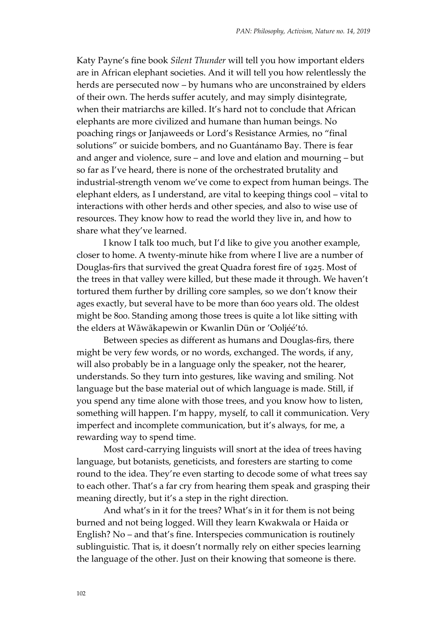Katy Payne's fine book *Silent Thunder* will tell you how important elders are in African elephant societies. And it will tell you how relentlessly the herds are persecuted now – by humans who are unconstrained by elders of their own. The herds suffer acutely, and may simply disintegrate, when their matriarchs are killed. It's hard not to conclude that African elephants are more civilized and humane than human beings. No poaching rings or Janjaweeds or Lord's Resistance Armies, no "final solutions" or suicide bombers, and no Guantánamo Bay. There is fear and anger and violence, sure – and love and elation and mourning – but so far as I've heard, there is none of the orchestrated brutality and industrial-strength venom we've come to expect from human beings. The elephant elders, as I understand, are vital to keeping things cool – vital to interactions with other herds and other species, and also to wise use of resources. They know how to read the world they live in, and how to share what they've learned.

I know I talk too much, but I'd like to give you another example, closer to home. A twenty-minute hike from where I live are a number of Douglas-firs that survived the great Quadra forest fire of 1925. Most of the trees in that valley were killed, but these made it through. We haven't tortured them further by drilling core samples, so we don't know their ages exactly, but several have to be more than 600 years old. The oldest might be 800. Standing among those trees is quite a lot like sitting with the elders at Wāwākapewin or Kwanlin Dün or 'Ooljéé'tó.

Between species as different as humans and Douglas-firs, there might be very few words, or no words, exchanged. The words, if any, will also probably be in a language only the speaker, not the hearer, understands. So they turn into gestures, like waving and smiling. Not language but the base material out of which language is made. Still, if you spend any time alone with those trees, and you know how to listen, something will happen. I'm happy, myself, to call it communication. Very imperfect and incomplete communication, but it's always, for me, a rewarding way to spend time.

Most card-carrying linguists will snort at the idea of trees having language, but botanists, geneticists, and foresters are starting to come round to the idea. They're even starting to decode some of what trees say to each other. That's a far cry from hearing them speak and grasping their meaning directly, but it's a step in the right direction.

And what's in it for the trees? What's in it for them is not being burned and not being logged. Will they learn Kwakwala or Haida or English? No – and that's fine. Interspecies communication is routinely sublinguistic. That is, it doesn't normally rely on either species learning the language of the other. Just on their knowing that someone is there.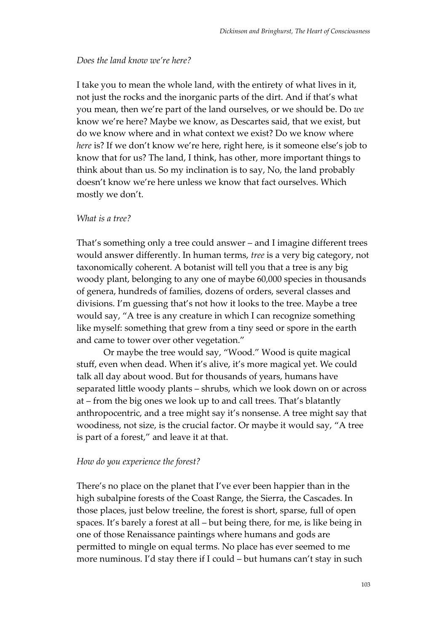### *Does the land know we're here?*

I take you to mean the whole land, with the entirety of what lives in it, not just the rocks and the inorganic parts of the dirt. And if that's what you mean, then we're part of the land ourselves, or we should be. Do *we* know we're here? Maybe we know, as Descartes said, that we exist, but do we know where and in what context we exist? Do we know where *here* is? If we don't know we're here, right here, is it someone else's job to know that for us? The land, I think, has other, more important things to think about than us. So my inclination is to say, No, the land probably doesn't know we're here unless we know that fact ourselves. Which mostly we don't.

### *What is a tree?*

That's something only a tree could answer – and I imagine different trees would answer differently. In human terms, *tree* is a very big category, not taxonomically coherent. A botanist will tell you that a tree is any big woody plant, belonging to any one of maybe 60,000 species in thousands of genera, hundreds of families, dozens of orders, several classes and divisions. I'm guessing that's not how it looks to the tree. Maybe a tree would say, "A tree is any creature in which I can recognize something like myself: something that grew from a tiny seed or spore in the earth and came to tower over other vegetation."

Or maybe the tree would say, "Wood." Wood is quite magical stuff, even when dead. When it's alive, it's more magical yet. We could talk all day about wood. But for thousands of years, humans have separated little woody plants – shrubs, which we look down on or across at – from the big ones we look up to and call trees. That's blatantly anthropocentric, and a tree might say it's nonsense. A tree might say that woodiness, not size, is the crucial factor. Or maybe it would say, "A tree is part of a forest," and leave it at that.

#### *How do you experience the forest?*

There's no place on the planet that I've ever been happier than in the high subalpine forests of the Coast Range, the Sierra, the Cascades. In those places, just below treeline, the forest is short, sparse, full of open spaces. It's barely a forest at all – but being there, for me, is like being in one of those Renaissance paintings where humans and gods are permitted to mingle on equal terms. No place has ever seemed to me more numinous. I'd stay there if I could – but humans can't stay in such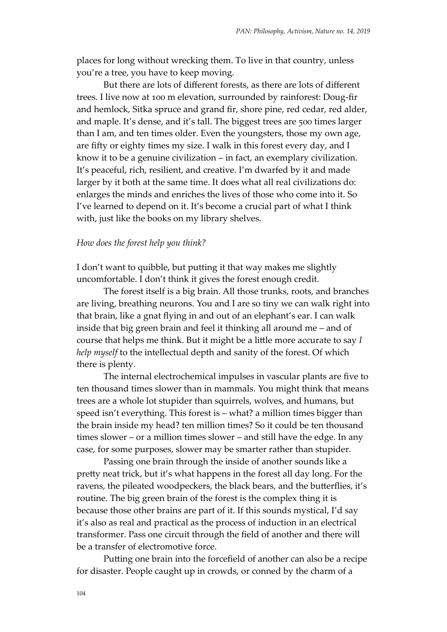places for long without wrecking them. To live in that country, unless you're a tree, you have to keep moving.

But there are lots of different forests, as there are lots of different trees. I live now at 100 m elevation, surrounded by rainforest: Doug-fir and hemlock, Sitka spruce and grand fir, shore pine, red cedar, red alder, and maple. It's dense, and it's tall. The biggest trees are 500 times larger than I am, and ten times older. Even the youngsters, those my own age, are fifty or eighty times my size. I walk in this forest every day, and I know it to be a genuine civilization – in fact, an exemplary civilization. It's peaceful, rich, resilient, and creative. I'm dwarfed by it and made larger by it both at the same time. It does what all real civilizations do: enlarges the minds and enriches the lives of those who come into it. So I've learned to depend on it. It's become a crucial part of what I think with, just like the books on my library shelves.

#### *How does the forest help you think?*

I don't want to quibble, but putting it that way makes me slightly uncomfortable. I don't think it gives the forest enough credit.

The forest itself is a big brain. All those trunks, roots, and branches are living, breathing neurons. You and I are so tiny we can walk right into that brain, like a gnat flying in and out of an elephant's ear. I can walk inside that big green brain and feel it thinking all around me – and of course that helps me think. But it might be a little more accurate to say *I help myself* to the intellectual depth and sanity of the forest. Of which there is plenty.

The internal electrochemical impulses in vascular plants are five to ten thousand times slower than in mammals. You might think that means trees are a whole lot stupider than squirrels, wolves, and humans, but speed isn't everything. This forest is – what? a million times bigger than the brain inside my head? ten million times? So it could be ten thousand times slower – or a million times slower – and still have the edge. In any case, for some purposes, slower may be smarter rather than stupider.

Passing one brain through the inside of another sounds like a pretty neat trick, but it's what happens in the forest all day long. For the ravens, the pileated woodpeckers, the black bears, and the butterflies, it's routine. The big green brain of the forest is the complex thing it is because those other brains are part of it. If this sounds mystical, I'd say it's also as real and practical as the process of induction in an electrical transformer. Pass one circuit through the field of another and there will be a transfer of electromotive force.

Putting one brain into the forcefield of another can also be a recipe for disaster. People caught up in crowds, or conned by the charm of a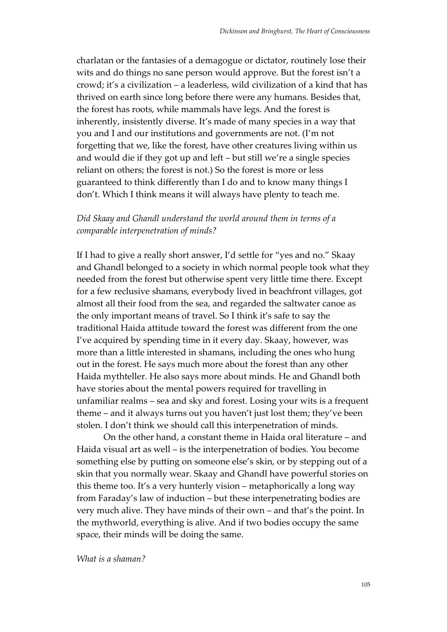charlatan or the fantasies of a demagogue or dictator, routinely lose their wits and do things no sane person would approve. But the forest isn't a crowd; it's a civilization – a leaderless, wild civilization of a kind that has thrived on earth since long before there were any humans. Besides that, the forest has roots, while mammals have legs. And the forest is inherently, insistently diverse. It's made of many species in a way that you and I and our institutions and governments are not. (I'm not forgetting that we, like the forest, have other creatures living within us and would die if they got up and left – but still we're a single species reliant on others; the forest is not.) So the forest is more or less guaranteed to think differently than I do and to know many things I don't. Which I think means it will always have plenty to teach me.

## *Did Skaay and Ghandl understand the world around them in terms of a comparable interpenetration of minds?*

If I had to give a really short answer, I'd settle for "yes and no." Skaay and Ghandl belonged to a society in which normal people took what they needed from the forest but otherwise spent very little time there. Except for a few reclusive shamans, everybody lived in beachfront villages, got almost all their food from the sea, and regarded the saltwater canoe as the only important means of travel. So I think it's safe to say the traditional Haida attitude toward the forest was different from the one I've acquired by spending time in it every day. Skaay, however, was more than a little interested in shamans, including the ones who hung out in the forest. He says much more about the forest than any other Haida mythteller. He also says more about minds. He and Ghandl both have stories about the mental powers required for travelling in unfamiliar realms – sea and sky and forest. Losing your wits is a frequent theme – and it always turns out you haven't just lost them; they've been stolen. I don't think we should call this interpenetration of minds.

On the other hand, a constant theme in Haida oral literature – and Haida visual art as well – is the interpenetration of bodies. You become something else by putting on someone else's skin, or by stepping out of a skin that you normally wear. Skaay and Ghandl have powerful stories on this theme too. It's a very hunterly vision – metaphorically a long way from Faraday's law of induction – but these interpenetrating bodies are very much alive. They have minds of their own – and that's the point. In the mythworld, everything is alive. And if two bodies occupy the same space, their minds will be doing the same.

*What is a shaman?*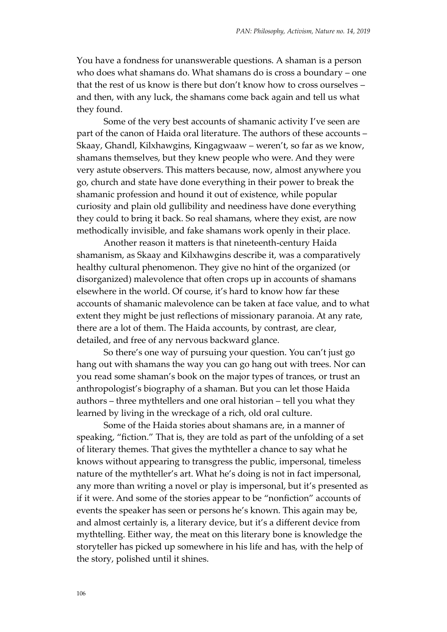You have a fondness for unanswerable questions. A shaman is a person who does what shamans do. What shamans do is cross a boundary – one that the rest of us know is there but don't know how to cross ourselves – and then, with any luck, the shamans come back again and tell us what they found.

Some of the very best accounts of shamanic activity I've seen are part of the canon of Haida oral literature. The authors of these accounts – Skaay, Ghandl, Kilxhawgins, Kingagwaaw – weren't, so far as we know, shamans themselves, but they knew people who were. And they were very astute observers. This matters because, now, almost anywhere you go, church and state have done everything in their power to break the shamanic profession and hound it out of existence, while popular curiosity and plain old gullibility and neediness have done everything they could to bring it back. So real shamans, where they exist, are now methodically invisible, and fake shamans work openly in their place.

Another reason it matters is that nineteenth-century Haida shamanism, as Skaay and Kilxhawgins describe it, was a comparatively healthy cultural phenomenon. They give no hint of the organized (or disorganized) malevolence that often crops up in accounts of shamans elsewhere in the world. Of course, it's hard to know how far these accounts of shamanic malevolence can be taken at face value, and to what extent they might be just reflections of missionary paranoia. At any rate, there are a lot of them. The Haida accounts, by contrast, are clear, detailed, and free of any nervous backward glance.

So there's one way of pursuing your question. You can't just go hang out with shamans the way you can go hang out with trees. Nor can you read some shaman's book on the major types of trances, or trust an anthropologist's biography of a shaman. But you can let those Haida authors – three mythtellers and one oral historian – tell you what they learned by living in the wreckage of a rich, old oral culture.

Some of the Haida stories about shamans are, in a manner of speaking, "fiction." That is, they are told as part of the unfolding of a set of literary themes. That gives the mythteller a chance to say what he knows without appearing to transgress the public, impersonal, timeless nature of the mythteller's art. What he's doing is not in fact impersonal, any more than writing a novel or play is impersonal, but it's presented as if it were. And some of the stories appear to be "nonfiction" accounts of events the speaker has seen or persons he's known. This again may be, and almost certainly is, a literary device, but it's a different device from mythtelling. Either way, the meat on this literary bone is knowledge the storyteller has picked up somewhere in his life and has, with the help of the story, polished until it shines.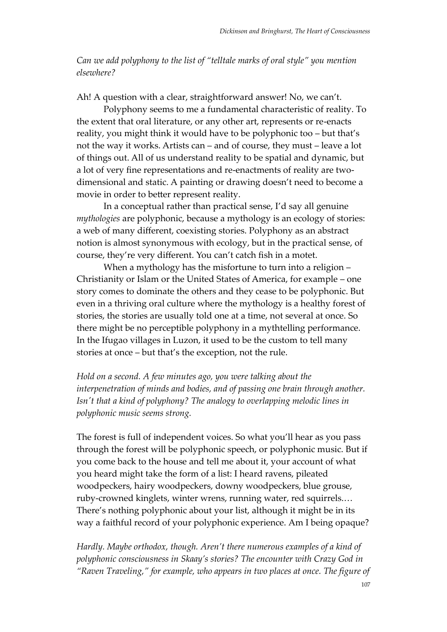*Can we add polyphony to the list of "telltale marks of oral style" you mention elsewhere?*

Ah! A question with a clear, straightforward answer! No, we can't.

Polyphony seems to me a fundamental characteristic of reality. To the extent that oral literature, or any other art, represents or re-enacts reality, you might think it would have to be polyphonic too – but that's not the way it works. Artists can – and of course, they must – leave a lot of things out. All of us understand reality to be spatial and dynamic, but a lot of very fine representations and re-enactments of reality are twodimensional and static. A painting or drawing doesn't need to become a movie in order to better represent reality.

In a conceptual rather than practical sense, I'd say all genuine *mythologies* are polyphonic, because a mythology is an ecology of stories: a web of many different, coexisting stories. Polyphony as an abstract notion is almost synonymous with ecology, but in the practical sense, of course, they're very different. You can't catch fish in a motet.

When a mythology has the misfortune to turn into a religion – Christianity or Islam or the United States of America, for example – one story comes to dominate the others and they cease to be polyphonic. But even in a thriving oral culture where the mythology is a healthy forest of stories, the stories are usually told one at a time, not several at once. So there might be no perceptible polyphony in a mythtelling performance. In the Ifugao villages in Luzon, it used to be the custom to tell many stories at once – but that's the exception, not the rule.

*Hold on a second. A few minutes ago, you were talking about the interpenetration of minds and bodies, and of passing one brain through another. Isn't that a kind of polyphony? The analogy to overlapping melodic lines in polyphonic music seems strong.*

The forest is full of independent voices. So what you'll hear as you pass through the forest will be polyphonic speech, or polyphonic music. But if you come back to the house and tell me about it, your account of what you heard might take the form of a list: I heard ravens, pileated woodpeckers, hairy woodpeckers, downy woodpeckers, blue grouse, ruby-crowned kinglets, winter wrens, running water, red squirrels.… There's nothing polyphonic about your list, although it might be in its way a faithful record of your polyphonic experience. Am I being opaque?

*Hardly. Maybe orthodox, though. Aren't there numerous examples of a kind of polyphonic consciousness in Skaay's stories? The encounter with Crazy God in "Raven Traveling," for example, who appears in two places at once. The figure of*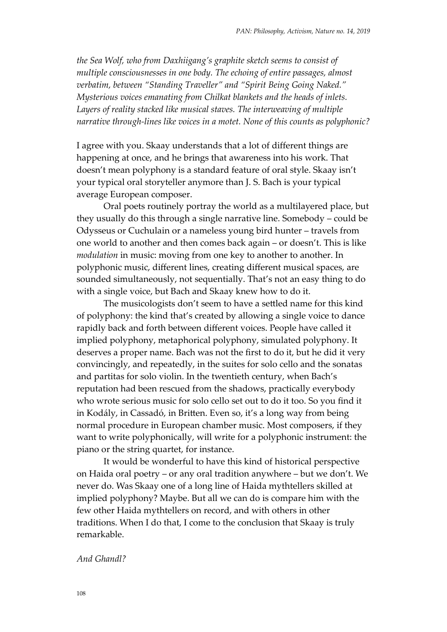*the Sea Wolf, who from Daxhiigang's graphite sketch seems to consist of multiple consciousnesses in one body. The echoing of entire passages, almost verbatim, between "Standing Traveller" and "Spirit Being Going Naked." Mysterious voices emanating from Chilkat blankets and the heads of inlets. Layers of reality stacked like musical staves. The interweaving of multiple narrative through-lines like voices in a motet. None of this counts as polyphonic?*

I agree with you. Skaay understands that a lot of different things are happening at once, and he brings that awareness into his work. That doesn't mean polyphony is a standard feature of oral style. Skaay isn't your typical oral storyteller anymore than J. S. Bach is your typical average European composer.

Oral poets routinely portray the world as a multilayered place, but they usually do this through a single narrative line. Somebody – could be Odysseus or Cuchulain or a nameless young bird hunter – travels from one world to another and then comes back again – or doesn't. This is like *modulation* in music: moving from one key to another to another. In polyphonic music, different lines, creating different musical spaces, are sounded simultaneously, not sequentially. That's not an easy thing to do with a single voice, but Bach and Skaay knew how to do it.

The musicologists don't seem to have a settled name for this kind of polyphony: the kind that's created by allowing a single voice to dance rapidly back and forth between different voices. People have called it implied polyphony, metaphorical polyphony, simulated polyphony. It deserves a proper name. Bach was not the first to do it, but he did it very convincingly, and repeatedly, in the suites for solo cello and the sonatas and partitas for solo violin. In the twentieth century, when Bach's reputation had been rescued from the shadows, practically everybody who wrote serious music for solo cello set out to do it too. So you find it in Kodály, in Cassadó, in Britten. Even so, it's a long way from being normal procedure in European chamber music. Most composers, if they want to write polyphonically, will write for a polyphonic instrument: the piano or the string quartet, for instance.

It would be wonderful to have this kind of historical perspective on Haida oral poetry – or any oral tradition anywhere – but we don't. We never do. Was Skaay one of a long line of Haida mythtellers skilled at implied polyphony? Maybe. But all we can do is compare him with the few other Haida mythtellers on record, and with others in other traditions. When I do that, I come to the conclusion that Skaay is truly remarkable.

### *And Ghandl?*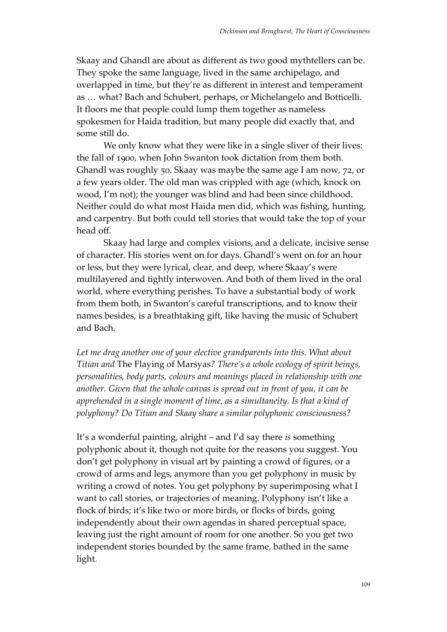Skaay and Ghandl are about as different as two good mythtellers can be. They spoke the same language, lived in the same archipelago, and overlapped in time, but they're as different in interest and temperament as … what? Bach and Schubert, perhaps, or Michelangelo and Botticelli. It floors me that people could lump them together as nameless spokesmen for Haida tradition, but many people did exactly that, and some still do.

We only know what they were like in a single sliver of their lives: the fall of 1900, when John Swanton took dictation from them both. Ghandl was roughly 50. Skaay was maybe the same age I am now, 72, or a few years older. The old man was crippled with age (which, knock on wood, I'm not); the younger was blind and had been since childhood. Neither could do what most Haida men did, which was fishing, hunting, and carpentry. But both could tell stories that would take the top of your head off.

Skaay had large and complex visions, and a delicate, incisive sense of character. His stories went on for days. Ghandl's went on for an hour or less, but they were lyrical, clear, and deep, where Skaay's were multilayered and tightly interwoven. And both of them lived in the oral world, where everything perishes. To have a substantial body of work from them both, in Swanton's careful transcriptions, and to know their names besides, is a breathtaking gift, like having the music of Schubert and Bach.

Let me drag another one of your elective grandparents into this. What about *Titian and* The Flaying of Marsyas*? There's a whole ecology of spirit beings, personalities, body parts, colours and meanings placed in relationship with one another. Given that the whole canvas is spread out in front of you, it can be apprehended in a single moment of time, as a simultaneity. Is that a kind of polyphony? Do Titian and Skaay share a similar polyphonic consciousness?*

It's a wonderful painting, alright – and I'd say there *is* something polyphonic about it, though not quite for the reasons you suggest. You don't get polyphony in visual art by painting a crowd of figures, or a crowd of arms and legs, anymore than you get polyphony in music by writing a crowd of notes. You get polyphony by superimposing what I want to call stories, or trajectories of meaning. Polyphony isn't like a flock of birds; it's like two or more birds, or flocks of birds, going independently about their own agendas in shared perceptual space, leaving just the right amount of room for one another. So you get two independent stories bounded by the same frame, bathed in the same light.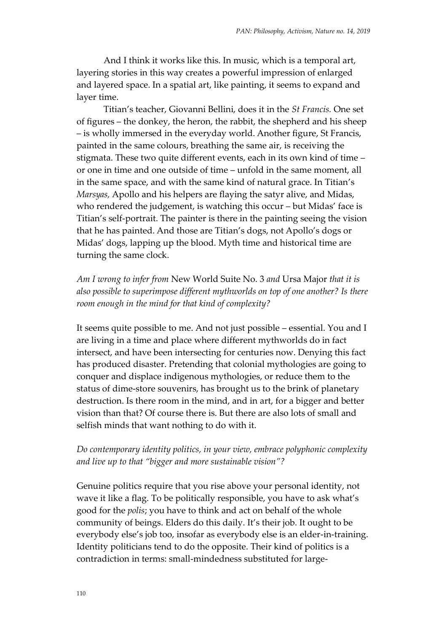And I think it works like this. In music, which is a temporal art, layering stories in this way creates a powerful impression of enlarged and layered space. In a spatial art, like painting, it seems to expand and layer time.

Titian's teacher, Giovanni Bellini, does it in the *St Francis.* One set of figures – the donkey, the heron, the rabbit, the shepherd and his sheep – is wholly immersed in the everyday world. Another figure, St Francis, painted in the same colours, breathing the same air, is receiving the stigmata. These two quite different events, each in its own kind of time – or one in time and one outside of time – unfold in the same moment, all in the same space, and with the same kind of natural grace. In Titian's *Marsyas,* Apollo and his helpers are flaying the satyr alive, and Midas, who rendered the judgement, is watching this occur – but Midas' face is Titian's self-portrait. The painter is there in the painting seeing the vision that he has painted. And those are Titian's dogs, not Apollo's dogs or Midas' dogs, lapping up the blood. Myth time and historical time are turning the same clock.

*Am I wrong to infer from* New World Suite No. 3 *and* Ursa Major *that it is also possible to superimpose different mythworlds on top of one another? Is there room enough in the mind for that kind of complexity?*

It seems quite possible to me. And not just possible – essential. You and I are living in a time and place where different mythworlds do in fact intersect, and have been intersecting for centuries now. Denying this fact has produced disaster. Pretending that colonial mythologies are going to conquer and displace indigenous mythologies, or reduce them to the status of dime-store souvenirs, has brought us to the brink of planetary destruction. Is there room in the mind, and in art, for a bigger and better vision than that? Of course there is. But there are also lots of small and selfish minds that want nothing to do with it.

## *Do contemporary identity politics, in your view, embrace polyphonic complexity and live up to that "bigger and more sustainable vision"?*

Genuine politics require that you rise above your personal identity, not wave it like a flag. To be politically responsible, you have to ask what's good for the *polis*; you have to think and act on behalf of the whole community of beings. Elders do this daily. It's their job. It ought to be everybody else's job too, insofar as everybody else is an elder-in-training. Identity politicians tend to do the opposite. Their kind of politics is a contradiction in terms: small-mindedness substituted for large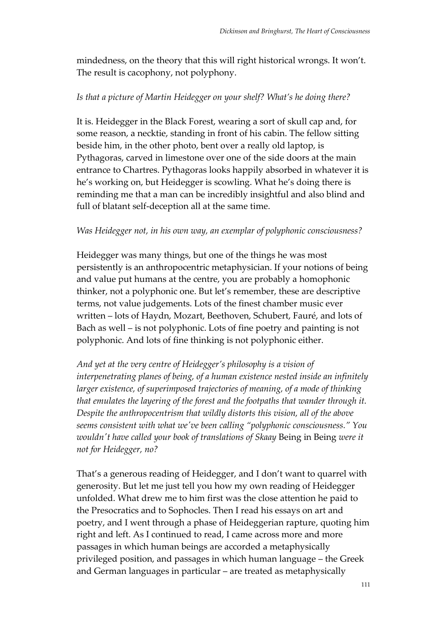mindedness, on the theory that this will right historical wrongs. It won't. The result is cacophony, not polyphony.

### *Is that a picture of Martin Heidegger on your shelf? What's he doing there?*

It is. Heidegger in the Black Forest, wearing a sort of skull cap and, for some reason, a necktie, standing in front of his cabin. The fellow sitting beside him, in the other photo, bent over a really old laptop, is Pythagoras, carved in limestone over one of the side doors at the main entrance to Chartres. Pythagoras looks happily absorbed in whatever it is he's working on, but Heidegger is scowling. What he's doing there is reminding me that a man can be incredibly insightful and also blind and full of blatant self-deception all at the same time.

### *Was Heidegger not, in his own way, an exemplar of polyphonic consciousness?*

Heidegger was many things, but one of the things he was most persistently is an anthropocentric metaphysician. If your notions of being and value put humans at the centre, you are probably a homophonic thinker, not a polyphonic one. But let's remember, these are descriptive terms, not value judgements. Lots of the finest chamber music ever written – lots of Haydn, Mozart, Beethoven, Schubert, Fauré, and lots of Bach as well – is not polyphonic. Lots of fine poetry and painting is not polyphonic. And lots of fine thinking is not polyphonic either.

*And yet at the very centre of Heidegger's philosophy is a vision of interpenetrating planes of being, of a human existence nested inside an infinitely larger existence, of superimposed trajectories of meaning, of a mode of thinking that emulates the layering of the forest and the footpaths that wander through it. Despite the anthropocentrism that wildly distorts this vision, all of the above seems consistent with what we've been calling "polyphonic consciousness." You wouldn't have called your book of translations of Skaay* Being in Being *were it not for Heidegger, no?*

That's a generous reading of Heidegger, and I don't want to quarrel with generosity. But let me just tell you how my own reading of Heidegger unfolded. What drew me to him first was the close attention he paid to the Presocratics and to Sophocles. Then I read his essays on art and poetry, and I went through a phase of Heideggerian rapture, quoting him right and left. As I continued to read, I came across more and more passages in which human beings are accorded a metaphysically privileged position, and passages in which human language – the Greek and German languages in particular – are treated as metaphysically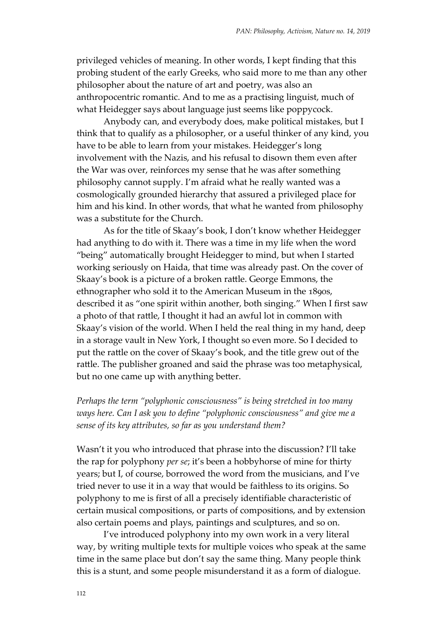privileged vehicles of meaning. In other words, I kept finding that this probing student of the early Greeks, who said more to me than any other philosopher about the nature of art and poetry, was also an anthropocentric romantic. And to me as a practising linguist, much of what Heidegger says about language just seems like poppycock.

Anybody can, and everybody does, make political mistakes, but I think that to qualify as a philosopher, or a useful thinker of any kind, you have to be able to learn from your mistakes. Heidegger's long involvement with the Nazis, and his refusal to disown them even after the War was over, reinforces my sense that he was after something philosophy cannot supply. I'm afraid what he really wanted was a cosmologically grounded hierarchy that assured a privileged place for him and his kind. In other words, that what he wanted from philosophy was a substitute for the Church.

As for the title of Skaay's book, I don't know whether Heidegger had anything to do with it. There was a time in my life when the word "being" automatically brought Heidegger to mind, but when I started working seriously on Haida, that time was already past. On the cover of Skaay's book is a picture of a broken rattle. George Emmons, the ethnographer who sold it to the American Museum in the 1890s, described it as "one spirit within another, both singing." When I first saw a photo of that rattle, I thought it had an awful lot in common with Skaay's vision of the world. When I held the real thing in my hand, deep in a storage vault in New York, I thought so even more. So I decided to put the rattle on the cover of Skaay's book, and the title grew out of the rattle. The publisher groaned and said the phrase was too metaphysical, but no one came up with anything better.

## *Perhaps the term "polyphonic consciousness" is being stretched in too many ways here. Can I ask you to define "polyphonic consciousness" and give me a sense of its key attributes, so far as you understand them?*

Wasn't it you who introduced that phrase into the discussion? I'll take the rap for polyphony *per se*; it's been a hobbyhorse of mine for thirty years; but I, of course, borrowed the word from the musicians, and I've tried never to use it in a way that would be faithless to its origins. So polyphony to me is first of all a precisely identifiable characteristic of certain musical compositions, or parts of compositions, and by extension also certain poems and plays, paintings and sculptures, and so on.

I've introduced polyphony into my own work in a very literal way, by writing multiple texts for multiple voices who speak at the same time in the same place but don't say the same thing. Many people think this is a stunt, and some people misunderstand it as a form of dialogue.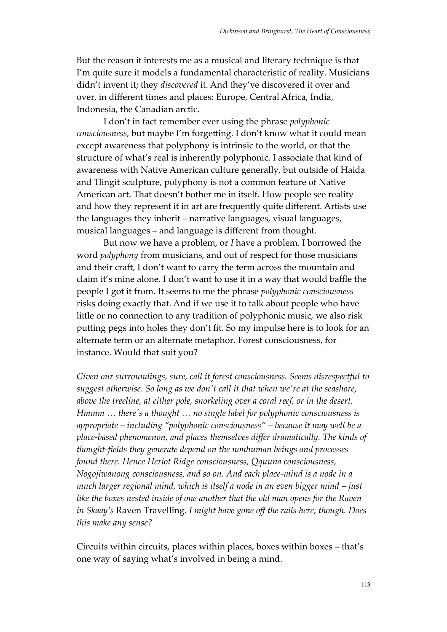But the reason it interests me as a musical and literary technique is that I'm quite sure it models a fundamental characteristic of reality. Musicians didn't invent it; they *discovered* it. And they've discovered it over and over, in different times and places: Europe, Central Africa, India, Indonesia, the Canadian arctic.

I don't in fact remember ever using the phrase *polyphonic consciousness,* but maybe I'm forgetting. I don't know what it could mean except awareness that polyphony is intrinsic to the world, or that the structure of what's real is inherently polyphonic. I associate that kind of awareness with Native American culture generally, but outside of Haida and Tlingit sculpture, polyphony is not a common feature of Native American art. That doesn't bother me in itself. How people see reality and how they represent it in art are frequently quite different. Artists use the languages they inherit – narrative languages, visual languages, musical languages – and language is different from thought.

But now we have a problem, or *I* have a problem. I borrowed the word *polyphony* from musicians, and out of respect for those musicians and their craft, I don't want to carry the term across the mountain and claim it's mine alone. I don't want to use it in a way that would baffle the people I got it from. It seems to me the phrase *polyphonic consciousness* risks doing exactly that. And if we use it to talk about people who have little or no connection to any tradition of polyphonic music, we also risk putting pegs into holes they don't fit. So my impulse here is to look for an alternate term or an alternate metaphor. Forest consciousness, for instance. Would that suit you?

*Given our surroundings, sure, call it forest consciousness. Seems disrespectful to suggest otherwise. So long as we don't call it that when we're at the seashore, above the treeline, at either pole, snorkeling over a coral reef, or in the desert. Hmmm … there's a thought … no single label for polyphonic consciousness is appropriate – including "polyphonic consciousness" – because it may well be a place-based phenomenon, and places themselves differ dramatically. The kinds of thought-fields they generate depend on the nonhuman beings and processes found there. Hence Heriot Ridge consciousness, Qquuna consciousness, Nogojiwanong consciousness, and so on. And each place-mind is a node in a much larger regional mind, which is itself a node in an even bigger mind – just like the boxes nested inside of one another that the old man opens for the Raven in Skaay's* Raven Travelling. *I might have gone off the rails here, though. Does this make any sense?*

Circuits within circuits, places within places, boxes within boxes – that's one way of saying what's involved in being a mind.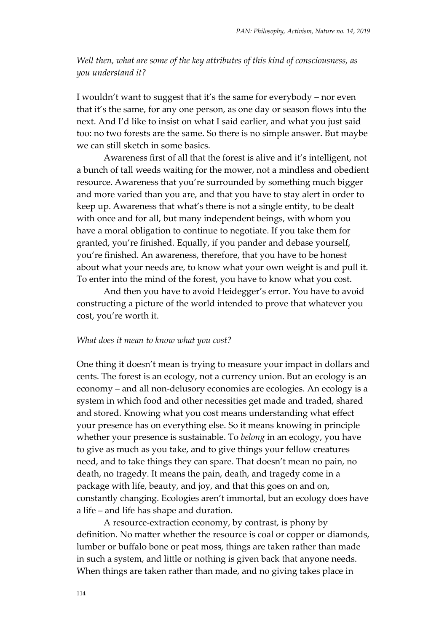*Well then, what are some of the key attributes of this kind of consciousness, as you understand it?*

I wouldn't want to suggest that it's the same for everybody – nor even that it's the same, for any one person, as one day or season flows into the next. And I'd like to insist on what I said earlier, and what you just said too: no two forests are the same. So there is no simple answer. But maybe we can still sketch in some basics.

Awareness first of all that the forest is alive and it's intelligent, not a bunch of tall weeds waiting for the mower, not a mindless and obedient resource. Awareness that you're surrounded by something much bigger and more varied than you are, and that you have to stay alert in order to keep up. Awareness that what's there is not a single entity, to be dealt with once and for all, but many independent beings, with whom you have a moral obligation to continue to negotiate. If you take them for granted, you're finished. Equally, if you pander and debase yourself, you're finished. An awareness, therefore, that you have to be honest about what your needs are, to know what your own weight is and pull it. To enter into the mind of the forest, you have to know what you cost.

And then you have to avoid Heidegger's error. You have to avoid constructing a picture of the world intended to prove that whatever you cost, you're worth it.

#### *What does it mean to know what you cost?*

One thing it doesn't mean is trying to measure your impact in dollars and cents. The forest is an ecology, not a currency union. But an ecology is an economy – and all non-delusory economies are ecologies. An ecology is a system in which food and other necessities get made and traded, shared and stored. Knowing what you cost means understanding what effect your presence has on everything else. So it means knowing in principle whether your presence is sustainable. To *belong* in an ecology, you have to give as much as you take, and to give things your fellow creatures need, and to take things they can spare. That doesn't mean no pain, no death, no tragedy. It means the pain, death, and tragedy come in a package with life, beauty, and joy, and that this goes on and on, constantly changing. Ecologies aren't immortal, but an ecology does have a life – and life has shape and duration.

A resource-extraction economy, by contrast, is phony by definition. No matter whether the resource is coal or copper or diamonds, lumber or buffalo bone or peat moss, things are taken rather than made in such a system, and little or nothing is given back that anyone needs. When things are taken rather than made, and no giving takes place in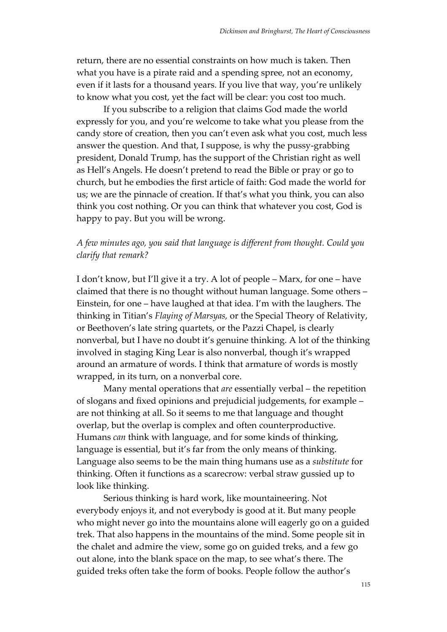return, there are no essential constraints on how much is taken. Then what you have is a pirate raid and a spending spree, not an economy, even if it lasts for a thousand years. If you live that way, you're unlikely to know what you cost, yet the fact will be clear: you cost too much.

If you subscribe to a religion that claims God made the world expressly for you, and you're welcome to take what you please from the candy store of creation, then you can't even ask what you cost, much less answer the question. And that, I suppose, is why the pussy-grabbing president, Donald Trump, has the support of the Christian right as well as Hell's Angels. He doesn't pretend to read the Bible or pray or go to church, but he embodies the first article of faith: God made the world for us; we are the pinnacle of creation. If that's what you think, you can also think you cost nothing. Or you can think that whatever you cost, God is happy to pay. But you will be wrong.

## *A few minutes ago, you said that language is different from thought. Could you clarify that remark?*

I don't know, but I'll give it a try. A lot of people – Marx, for one – have claimed that there is no thought without human language. Some others – Einstein, for one – have laughed at that idea. I'm with the laughers. The thinking in Titian's *Flaying of Marsyas,* or the Special Theory of Relativity, or Beethoven's late string quartets, or the Pazzi Chapel, is clearly nonverbal, but I have no doubt it's genuine thinking. A lot of the thinking involved in staging King Lear is also nonverbal, though it's wrapped around an armature of words. I think that armature of words is mostly wrapped, in its turn, on a nonverbal core.

Many mental operations that *are* essentially verbal – the repetition of slogans and fixed opinions and prejudicial judgements, for example – are not thinking at all. So it seems to me that language and thought overlap, but the overlap is complex and often counterproductive. Humans *can* think with language, and for some kinds of thinking, language is essential, but it's far from the only means of thinking. Language also seems to be the main thing humans use as a *substitute* for thinking. Often it functions as a scarecrow: verbal straw gussied up to look like thinking.

Serious thinking is hard work, like mountaineering. Not everybody enjoys it, and not everybody is good at it. But many people who might never go into the mountains alone will eagerly go on a guided trek. That also happens in the mountains of the mind. Some people sit in the chalet and admire the view, some go on guided treks, and a few go out alone, into the blank space on the map, to see what's there. The guided treks often take the form of books. People follow the author's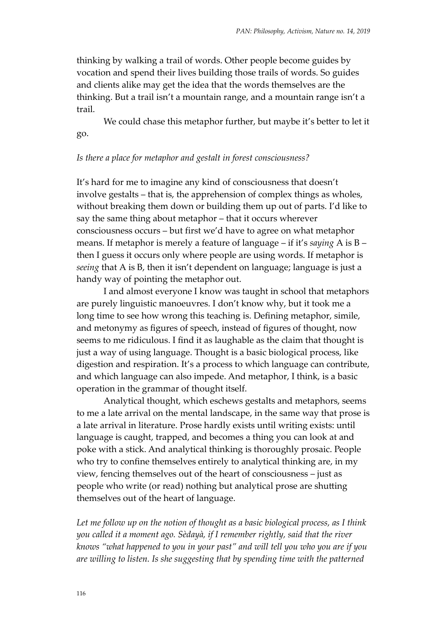thinking by walking a trail of words. Other people become guides by vocation and spend their lives building those trails of words. So guides and clients alike may get the idea that the words themselves are the thinking. But a trail isn't a mountain range, and a mountain range isn't a trail.

We could chase this metaphor further, but maybe it's better to let it go.

### *Is there a place for metaphor and gestalt in forest consciousness?*

It's hard for me to imagine any kind of consciousness that doesn't involve gestalts – that is, the apprehension of complex things as wholes, without breaking them down or building them up out of parts. I'd like to say the same thing about metaphor – that it occurs wherever consciousness occurs – but first we'd have to agree on what metaphor means. If metaphor is merely a feature of language – if it's *saying* A is B – then I guess it occurs only where people are using words. If metaphor is *seeing* that A is B, then it isn't dependent on language; language is just a handy way of pointing the metaphor out.

I and almost everyone I know was taught in school that metaphors are purely linguistic manoeuvres. I don't know why, but it took me a long time to see how wrong this teaching is. Defining metaphor, simile, and metonymy as figures of speech, instead of figures of thought, now seems to me ridiculous. I find it as laughable as the claim that thought is just a way of using language. Thought is a basic biological process, like digestion and respiration. It's a process to which language can contribute, and which language can also impede. And metaphor, I think, is a basic operation in the grammar of thought itself.

Analytical thought, which eschews gestalts and metaphors, seems to me a late arrival on the mental landscape, in the same way that prose is a late arrival in literature. Prose hardly exists until writing exists: until language is caught, trapped, and becomes a thing you can look at and poke with a stick. And analytical thinking is thoroughly prosaic. People who try to confine themselves entirely to analytical thinking are, in my view, fencing themselves out of the heart of consciousness – just as people who write (or read) nothing but analytical prose are shutting themselves out of the heart of language.

*Let me follow up on the notion of thought as a basic biological process, as I think you called it a moment ago. Sèdayà, if I remember rightly, said that the river knows "what happened to you in your past" and will tell you who you are if you are willing to listen. Is she suggesting that by spending time with the patterned*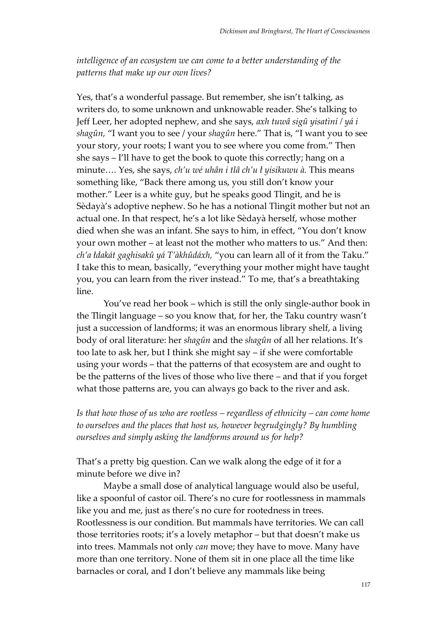*intelligence of an ecosystem we can come to a better understanding of the patterns that make up our own lives?*

Yes, that's a wonderful passage. But remember, she isn't talking, as writers do, to some unknown and unknowable reader. She's talking to Jeff Leer, her adopted nephew, and she says, *axh tuwâ sigû yisatìní / yá i shagûn,* "I want you to see / your *shagûn* here." That is, "I want you to see your story, your roots; I want you to see where you come from." Then she says – I'll have to get the book to quote this correctly; hang on a minute…. Yes, she says, *ch'u wé uhân i tlâ ch'u ł yisikuwu à.* This means something like, "Back there among us, you still don't know your mother." Leer is a white guy, but he speaks good Tlingit, and he is Sèdayà's adoptive nephew. So he has a notional Tlingit mother but not an actual one. In that respect, he's a lot like Sèdayà herself, whose mother died when she was an infant. She says to him, in effect, "You don't know your own mother – at least not the mother who matters to us." And then: *ch'a łdakát gaghisakû yá T'àkhûdáxh,* "you can learn all of it from the Taku." I take this to mean, basically, "everything your mother might have taught you, you can learn from the river instead." To me, that's a breathtaking line.

You've read her book – which is still the only single-author book in the Tlingit language – so you know that, for her, the Taku country wasn't just a succession of landforms; it was an enormous library shelf, a living body of oral literature: her *shagûn* and the *shagûn* of all her relations. It's too late to ask her, but I think she might say – if she were comfortable using your words – that the patterns of that ecosystem are and ought to be the patterns of the lives of those who live there – and that if you forget what those patterns are, you can always go back to the river and ask.

*Is that how those of us who are rootless – regardless of ethnicity – can come home to ourselves and the places that host us, however begrudgingly? By humbling ourselves and simply asking the landforms around us for help?* 

That's a pretty big question. Can we walk along the edge of it for a minute before we dive in?

Maybe a small dose of analytical language would also be useful, like a spoonful of castor oil. There's no cure for rootlessness in mammals like you and me, just as there's no cure for rootedness in trees. Rootlessness is our condition. But mammals have territories. We can call those territories roots; it's a lovely metaphor – but that doesn't make us into trees. Mammals not only *can* move; they have to move. Many have more than one territory. None of them sit in one place all the time like barnacles or coral, and I don't believe any mammals like being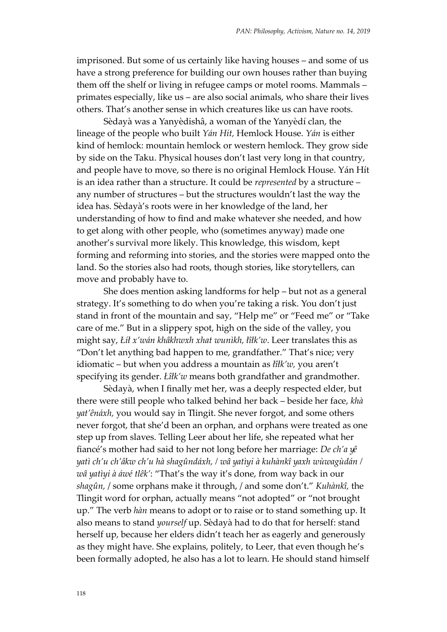imprisoned. But some of us certainly like having houses – and some of us have a strong preference for building our own houses rather than buying them off the shelf or living in refugee camps or motel rooms. Mammals – primates especially, like us – are also social animals, who share their lives others. That's another sense in which creatures like us can have roots.

Sèdayà was a Yanyèdishâ, a woman of the Yanyèdí clan, the lineage of the people who built *Yán Hít,* Hemlock House. *Yán* is either kind of hemlock: mountain hemlock or western hemlock. They grow side by side on the Taku. Physical houses don't last very long in that country, and people have to move, so there is no original Hemlock House. Yán Hít is an idea rather than a structure. It could be *represented* by a structure – any number of structures – but the structures wouldn't last the way the idea has. Sèdayà's roots were in her knowledge of the land, her understanding of how to find and make whatever she needed, and how to get along with other people, who (sometimes anyway) made one another's survival more likely. This knowledge, this wisdom, kept forming and reforming into stories, and the stories were mapped onto the land. So the stories also had roots, though stories, like storytellers, can move and probably have to.

She does mention asking landforms for help – but not as a general strategy. It's something to do when you're taking a risk. You don't just stand in front of the mountain and say, "Help me" or "Feed me" or "Take care of me." But in a slippery spot, high on the side of the valley, you might say, *Łíł x'wán khâkhwxh xhat wunìkh, łîłk'w*. Leer translates this as "Don't let anything bad happen to me, grandfather." That's nice; very idiomatic – but when you address a mountain as *łîłk'w,* you aren't specifying its gender. *Łîłk'w* means both grandfather and grandmother.

Sèdayà, when I finally met her, was a deeply respected elder, but there were still people who talked behind her back – beside her face, *khà yat'ênáxh,* you would say in Tlingit. She never forgot, and some others never forgot, that she'd been an orphan, and orphans were treated as one step up from slaves. Telling Leer about her life, she repeated what her fiancé's mother had said to her not long before her marriage: *De ch'a yê yatì ch'u ch'âkw ch'u hà shagûndáxh, / wâ yatìyi à kuhànkî yaxh wùwagùdán / wâ yatìyi à áwé tlêk'*: "That's the way it's done, from way back in our *shagûn,* / some orphans make it through, / and some don't." *Kuhànkî,* the Tlingit word for orphan, actually means "not adopted" or "not brought up." The verb *hàn* means to adopt or to raise or to stand something up. It also means to stand *yourself* up. Sèdayà had to do that for herself: stand herself up, because her elders didn't teach her as eagerly and generously as they might have. She explains, politely, to Leer, that even though he's been formally adopted, he also has a lot to learn. He should stand himself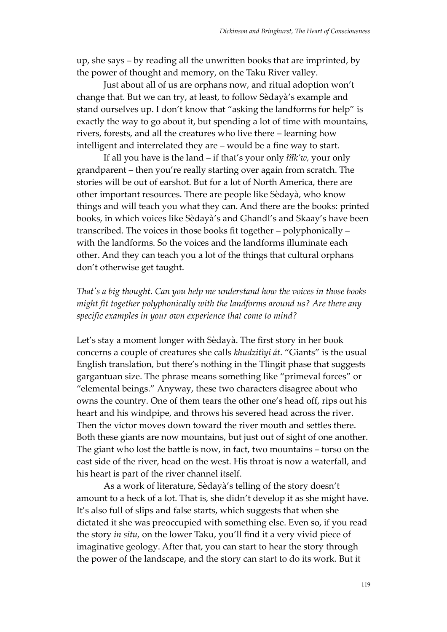up, she says – by reading all the unwritten books that are imprinted, by the power of thought and memory, on the Taku River valley.

Just about all of us are orphans now, and ritual adoption won't change that. But we can try, at least, to follow Sèdayà's example and stand ourselves up. I don't know that "asking the landforms for help" is exactly the way to go about it, but spending a lot of time with mountains, rivers, forests, and all the creatures who live there – learning how intelligent and interrelated they are – would be a fine way to start.

If all you have is the land – if that's your only *łîłk'w,* your only grandparent – then you're really starting over again from scratch. The stories will be out of earshot. But for a lot of North America, there are other important resources. There are people like Sèdayà, who know things and will teach you what they can. And there are the books: printed books, in which voices like Sèdayà's and Ghandl's and Skaay's have been transcribed. The voices in those books fit together – polyphonically – with the landforms. So the voices and the landforms illuminate each other. And they can teach you a lot of the things that cultural orphans don't otherwise get taught.

## *That's a big thought. Can you help me understand how the voices in those books might fit together polyphonically with the landforms around us? Are there any specific examples in your own experience that come to mind?*

Let's stay a moment longer with Sèdayà. The first story in her book concerns a couple of creatures she calls *khudzitìyi át*. "Giants" is the usual English translation, but there's nothing in the Tlingit phase that suggests gargantuan size. The phrase means something like "primeval forces" or "elemental beings." Anyway, these two characters disagree about who owns the country. One of them tears the other one's head off, rips out his heart and his windpipe, and throws his severed head across the river. Then the victor moves down toward the river mouth and settles there. Both these giants are now mountains, but just out of sight of one another. The giant who lost the battle is now, in fact, two mountains – torso on the east side of the river, head on the west. His throat is now a waterfall, and his heart is part of the river channel itself.

As a work of literature, Sèdayà's telling of the story doesn't amount to a heck of a lot. That is, she didn't develop it as she might have. It's also full of slips and false starts, which suggests that when she dictated it she was preoccupied with something else. Even so, if you read the story *in situ,* on the lower Taku, you'll find it a very vivid piece of imaginative geology. After that, you can start to hear the story through the power of the landscape, and the story can start to do its work. But it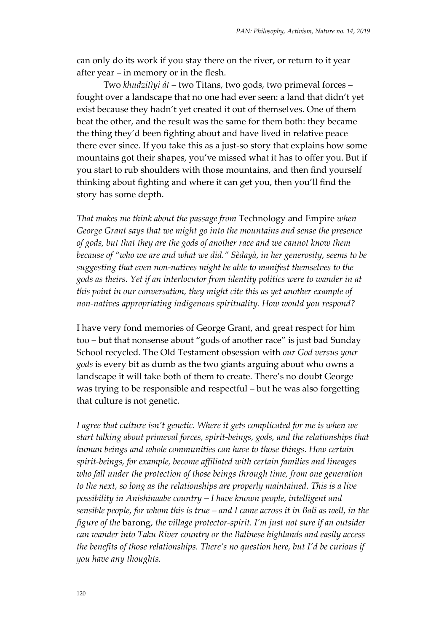can only do its work if you stay there on the river, or return to it year after year – in memory or in the flesh.

Two *khudzitìyi át* – two Titans, two gods, two primeval forces – fought over a landscape that no one had ever seen: a land that didn't yet exist because they hadn't yet created it out of themselves. One of them beat the other, and the result was the same for them both: they became the thing they'd been fighting about and have lived in relative peace there ever since. If you take this as a just-so story that explains how some mountains got their shapes, you've missed what it has to offer you. But if you start to rub shoulders with those mountains, and then find yourself thinking about fighting and where it can get you, then you'll find the story has some depth.

*That makes me think about the passage from* Technology and Empire *when George Grant says that we might go into the mountains and sense the presence of gods, but that they are the gods of another race and we cannot know them because of "who we are and what we did." Sèdayà, in her generosity, seems to be suggesting that even non-natives might be able to manifest themselves to the gods as theirs. Yet if an interlocutor from identity politics were to wander in at this point in our conversation, they might cite this as yet another example of non-natives appropriating indigenous spirituality. How would you respond?*

I have very fond memories of George Grant, and great respect for him too – but that nonsense about "gods of another race" is just bad Sunday School recycled. The Old Testament obsession with *our God versus your gods* is every bit as dumb as the two giants arguing about who owns a landscape it will take both of them to create. There's no doubt George was trying to be responsible and respectful – but he was also forgetting that culture is not genetic.

*I agree that culture isn't genetic. Where it gets complicated for me is when we start talking about primeval forces, spirit-beings, gods, and the relationships that human beings and whole communities can have to those things. How certain spirit-beings, for example, become affiliated with certain families and lineages who fall under the protection of those beings through time, from one generation to the next, so long as the relationships are properly maintained. This is a live possibility in Anishinaabe country – I have known people, intelligent and sensible people, for whom this is true – and I came across it in Bali as well, in the figure of the* barong, *the village protector-spirit. I'm just not sure if an outsider can wander into Taku River country or the Balinese highlands and easily access the benefits of those relationships. There's no question here, but I'd be curious if you have any thoughts.*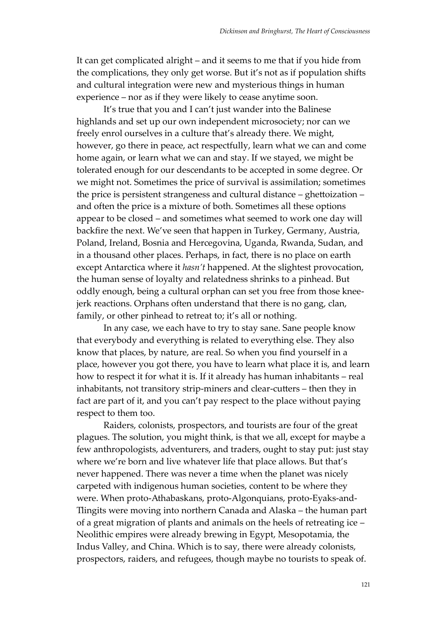It can get complicated alright – and it seems to me that if you hide from the complications, they only get worse. But it's not as if population shifts and cultural integration were new and mysterious things in human experience – nor as if they were likely to cease anytime soon.

It's true that you and I can't just wander into the Balinese highlands and set up our own independent microsociety; nor can we freely enrol ourselves in a culture that's already there. We might, however, go there in peace, act respectfully, learn what we can and come home again, or learn what we can and stay. If we stayed, we might be tolerated enough for our descendants to be accepted in some degree. Or we might not. Sometimes the price of survival is assimilation; sometimes the price is persistent strangeness and cultural distance – ghettoization – and often the price is a mixture of both. Sometimes all these options appear to be closed – and sometimes what seemed to work one day will backfire the next. We've seen that happen in Turkey, Germany, Austria, Poland, Ireland, Bosnia and Hercegovina, Uganda, Rwanda, Sudan, and in a thousand other places. Perhaps, in fact, there is no place on earth except Antarctica where it *hasn't* happened. At the slightest provocation, the human sense of loyalty and relatedness shrinks to a pinhead. But oddly enough, being a cultural orphan can set you free from those kneejerk reactions. Orphans often understand that there is no gang, clan, family, or other pinhead to retreat to; it's all or nothing.

In any case, we each have to try to stay sane. Sane people know that everybody and everything is related to everything else. They also know that places, by nature, are real. So when you find yourself in a place, however you got there, you have to learn what place it is, and learn how to respect it for what it is. If it already has human inhabitants – real inhabitants, not transitory strip-miners and clear-cutters – then they in fact are part of it, and you can't pay respect to the place without paying respect to them too.

Raiders, colonists, prospectors, and tourists are four of the great plagues. The solution, you might think, is that we all, except for maybe a few anthropologists, adventurers, and traders, ought to stay put: just stay where we're born and live whatever life that place allows. But that's never happened. There was never a time when the planet was nicely carpeted with indigenous human societies, content to be where they were. When proto-Athabaskans, proto-Algonquians, proto-Eyaks-and-Tlingits were moving into northern Canada and Alaska – the human part of a great migration of plants and animals on the heels of retreating ice – Neolithic empires were already brewing in Egypt, Mesopotamia, the Indus Valley, and China. Which is to say, there were already colonists, prospectors, raiders, and refugees, though maybe no tourists to speak of.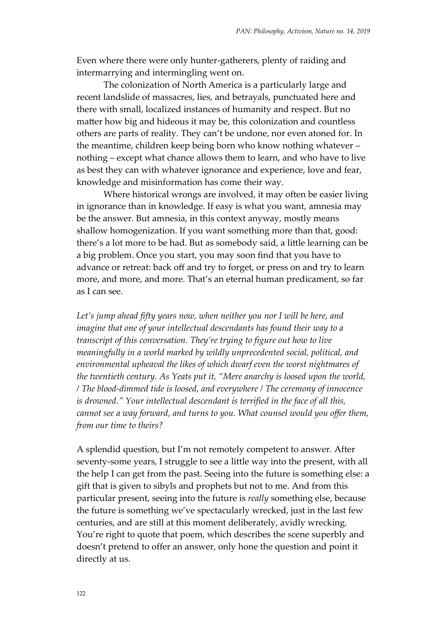Even where there were only hunter-gatherers, plenty of raiding and intermarrying and intermingling went on.

The colonization of North America is a particularly large and recent landslide of massacres, lies, and betrayals, punctuated here and there with small, localized instances of humanity and respect. But no matter how big and hideous it may be, this colonization and countless others are parts of reality. They can't be undone, nor even atoned for. In the meantime, children keep being born who know nothing whatever – nothing – except what chance allows them to learn, and who have to live as best they can with whatever ignorance and experience, love and fear, knowledge and misinformation has come their way.

Where historical wrongs are involved, it may often be easier living in ignorance than in knowledge. If easy is what you want, amnesia may be the answer. But amnesia, in this context anyway, mostly means shallow homogenization. If you want something more than that, good: there's a lot more to be had. But as somebody said, a little learning can be a big problem. Once you start, you may soon find that you have to advance or retreat: back off and try to forget, or press on and try to learn more, and more, and more. That's an eternal human predicament, so far as I can see.

Let's jump ahead fifty years now, when neither you nor I will be here, and *imagine that one of your intellectual descendants has found their way to a transcript of this conversation. They're trying to figure out how to live meaningfully in a world marked by wildly unprecedented social, political, and environmental upheaval the likes of which dwarf even the worst nightmares of the twentieth century. As Yeats put it, "Mere anarchy is loosed upon the world, / The blood-dimmed tide is loosed, and everywhere / The ceremony of innocence is drowned." Your intellectual descendant is terrified in the face of all this, cannot see a way forward, and turns to you. What counsel would you offer them, from our time to theirs?*

A splendid question, but I'm not remotely competent to answer. After seventy-some years, I struggle to see a little way into the present, with all the help I can get from the past. Seeing into the future is something else: a gift that is given to sibyls and prophets but not to me. And from this particular present, seeing into the future is *really* something else, because the future is something we've spectacularly wrecked, just in the last few centuries, and are still at this moment deliberately, avidly wrecking. You're right to quote that poem, which describes the scene superbly and doesn't pretend to offer an answer, only hone the question and point it directly at us.